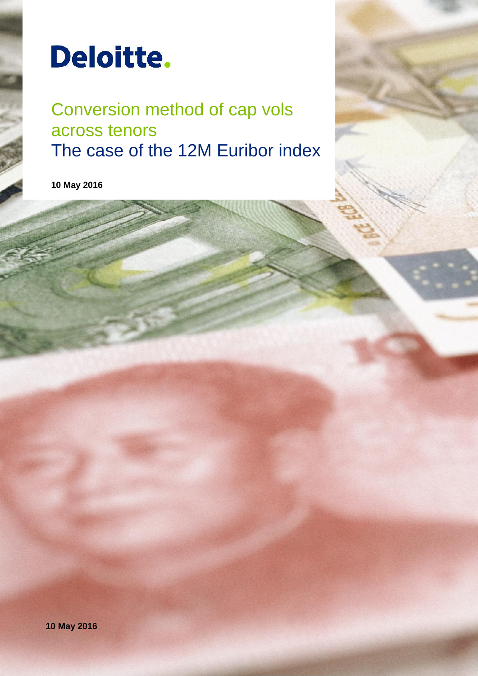

Conversion method of cap vols across tenors The case of the 12M Euribor index

**10 May 2016**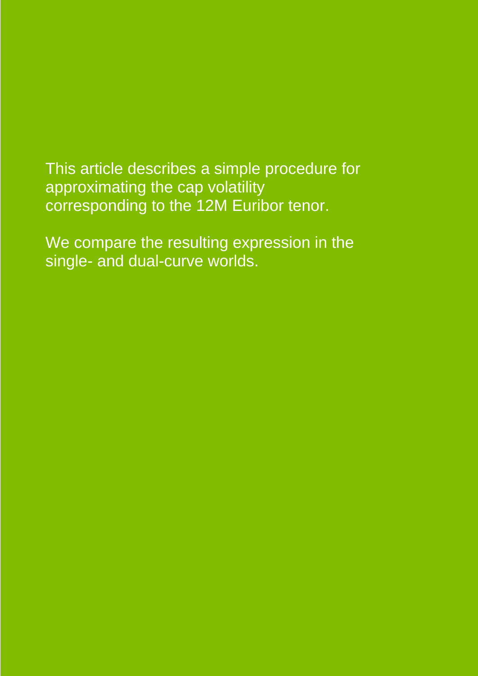This article describes a simple procedure for approximating the cap volatility corresponding to the 12M Euribor tenor.

We compare the resulting expression in the single- and dual-curve worlds.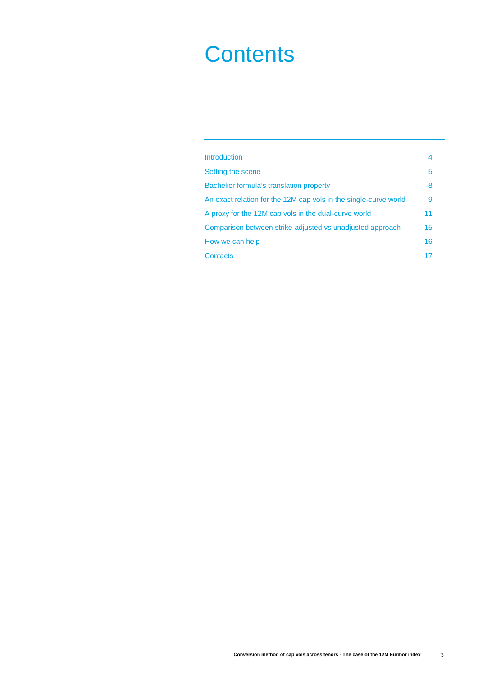# **Contents**

| Introduction                                                     | 4  |
|------------------------------------------------------------------|----|
| Setting the scene                                                | 5  |
| Bachelier formula's translation property                         | 8  |
| An exact relation for the 12M cap vols in the single-curve world | 9  |
| A proxy for the 12M cap vols in the dual-curve world             | 11 |
| Comparison between strike-adjusted vs unadjusted approach        | 15 |
| How we can help                                                  | 16 |
| Contacts                                                         | 17 |
|                                                                  |    |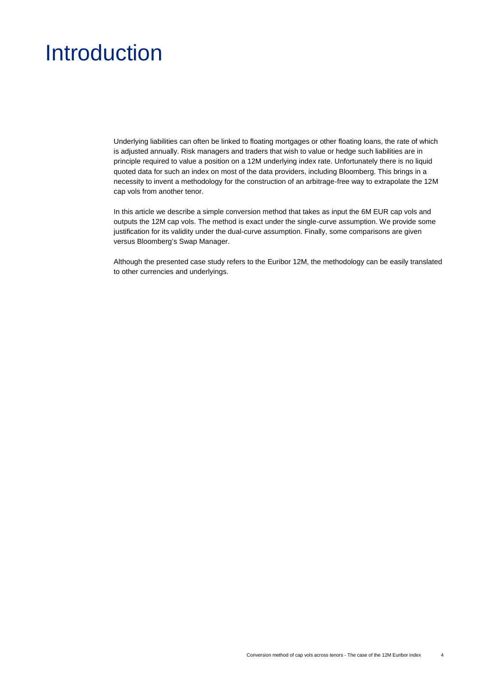### Introduction

Underlying liabilities can often be linked to floating mortgages or other floating loans, the rate of which is adjusted annually. Risk managers and traders that wish to value or hedge such liabilities are in principle required to value a position on a 12M underlying index rate. Unfortunately there is no liquid quoted data for such an index on most of the data providers, including Bloomberg. This brings in a necessity to invent a methodology for the construction of an arbitrage-free way to extrapolate the 12M cap vols from another tenor.

In this article we describe a simple conversion method that takes as input the 6M EUR cap vols and outputs the 12M cap vols. The method is exact under the single-curve assumption. We provide some justification for its validity under the dual-curve assumption. Finally, some comparisons are given versus Bloomberg's Swap Manager.

Although the presented case study refers to the Euribor 12M, the methodology can be easily translated to other currencies and underlyings.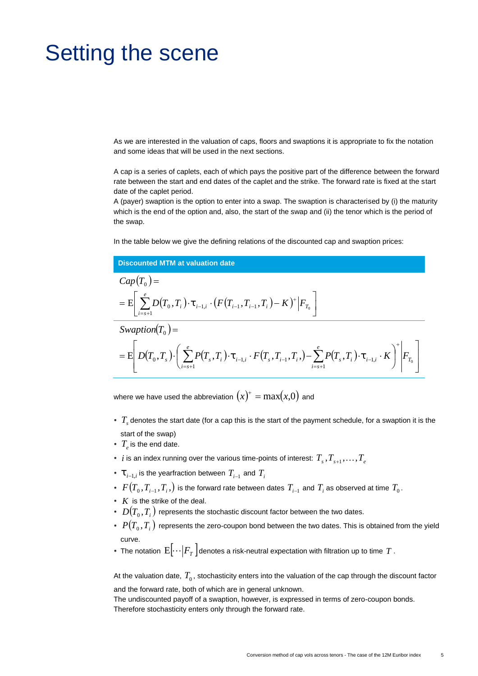### Setting the scene

As we are interested in the valuation of caps, floors and swaptions it is appropriate to fix the notation and some ideas that will be used in the next sections.

A cap is a series of caplets, each of which pays the positive part of the difference between the forward rate between the start and end dates of the caplet and the strike. The forward rate is fixed at the start date of the caplet period.

A (payer) swaption is the option to enter into a swap. The swaption is characterised by (i) the maturity which is the end of the option and, also, the start of the swap and (ii) the tenor which is the period of the swap.

In the table below we give the defining relations of the discounted cap and swaption prices:

#### **Discounted MTM at valuation date**  $Cap(T_0) =$  $\Big[\sum_{i=s+1} D\big(T_0, T_i\big)\cdot \sharp_{i-1,i} \cdot \big(F\big(T_{i-1}, T_{i-1}, T_i\big)-K\big)^+\Big|{\cal F}_{T_0}\Big]\Big]$  $\mathbf{r}$  and  $\mathbf{r}$  are all  $\mathbf{r}$  and  $\mathbf{r}$  $\mathbf{r}$  and  $\mathbf{r}$  are the set of  $\mathbf{r}$  $\mathbf{r}$  and  $\mathbf{r}$  are all  $\mathbf{r}$  and  $\mathbf{r}$  $\mathcal{L} = \mathrm{E}\Bigg[\sum_{i=s+1}^{e} D\big(T_0^{},T_i^{}\big)\cdot \sharp_{_{i-1,i}}\cdot \big(F\big(T_{_{i-1}^{}},T_{_{i-1}^{}},T_i^{}\big) - K\big)^{+}\Big|F_{T_0^{}}\Bigg]$  $\equiv$  and the set of the set of the set of the set of the set of the set of the set of the set of the set of the set of the set of the set of the set of the set of the set of the set of the set of the set of the set of the  $-1,i$   $\left\{ \begin{array}{ccc} 1 & \lambda & \lambda \\ 1 & -1 & \lambda \end{array} \right\}$   $\left\{ \begin{array}{ccc} 1 & \lambda & \lambda \\ 1 & -1 & \lambda \end{array} \right\}$   $\left\{ \begin{array}{ccc} 1 & \lambda & \lambda \\ 1 & -1 & \lambda \end{array} \right\}$ *e*  $\sum_{i=s+1} D(T_0, T_i) \cdot \mathbf{t}_{i-1,i} \cdot (F(T_{i-1}, T_{i-1}, T_i) - K)^+ \Big| F_{T_0} \; \Big]$  $\mathbb{E}\big|\bigg[\sum D(T_0, T_i\big)\cdot \sharp_{_{i=1,i}}\cdot (F(T_{_{i-1}}, T_{_{i-1}}, T_i)-K)^+\big|F_{_{T_0}}\bigg]\bigg]$  $\overline{0}$  ) –  $Swaption(T_0) =$  $(T_0,T_1)$   $\left[\sum P(T_0,T_i)\cdot\ddagger_{i-1,i}\cdot F(T_0,T_{i-1},T_i)\right]-\sum P(T_0,T_i)\cdot\ddagger_{i-1,i}\cdot K\mid F_T\mid$  $\mathbf{1}$  and  $\mathbf{1}$  and  $\mathbf{1}$  $\mathbf{J}$  and  $\mathbf{J}$  and  $\mathbf{J}$  $\mathbb{R}^n$  . The same is the same in the same in the same is  $\mathbb{R}^n$  $\left( \begin{array}{cccc} \sqrt{0.5} & 5 \\ 1 & 5 \end{array} \right)$   $\left( \begin{array}{cccc} 2 & 5 \\ 1 & 1 \end{array} \right)$   $i=1, i$  $\left( \begin{array}{ccc} e & \cdot & \cdot \end{array} \right)$  $\mid$   $F_{T_{\circ}}\mid$  $\begin{array}{c} \begin{array}{c} \end{array} \end{array}$  $\left( \sum_{i=1}^{e} P(T_{s},T_{i})\cdot\sharp_{i=1,i} \cdot F(T_{s},T_{i-1},T_{i},) - \sum_{i=1}^{e} P(T_{s},T_{i})\cdot\sharp_{i=1,i} \cdot K \right)^{T}$  $\begin{pmatrix} 1 & 1 \\ i = s+1 \end{pmatrix}$ Swaption(T<sub>0</sub>) =<br>=  $E\left[D(T_0, T_s)\right] \left(\sum_{i=1}^{e} P(T_s, T_i) \cdot \mathbf{t}_{i-1,i} \cdot F(T_s, T_{i-1}, T_s) - \sum_{i=1}^{e} P(T_s, T_i) \cdot \mathbf{t}_{i-1,i} \cdot K\right]^{+}\bigg|_{F_T}\bigg]$   $\left| -s+1 \right|$  /  $-1, i \quad \mathbf{\Lambda} \quad | \quad | \quad T_0 \quad |$  $\sum_{i=s+1} P\bigl(T_{_S},T_{_i}\bigr) \cdot \ddagger_{_{i-1,i}} \cdot F\bigl(T_{_S},T_{_{i-1}},T_{_i},\bigr) - \sum_{i=s+1} P\bigl(T_{_S},T_{_i}\bigr) \cdot \ddagger_{_{i-1,i}} \cdot K \ \biggr) \ \bigg| F_{T_{_0}} \ \bigg|$  $1,i \quad \mathbf{I} \quad | \quad \mathbf{I} \quad T_0$ 1  $\left\{ \mathrm{E} \left[ \left. D (T^{}_{0}, T^{}_{s\cdot} ) \cdot \right| \right. \, \sum P (T^{}_{s\cdot} T^{}_{i\cdot} ) \cdot \sharp_{_{i-1,i}} \cdot F (T^{}_{s\cdot} T^{}_{i-1}, T^{}_{i\cdot} ) - \sum P (T^{}_{s\cdot} T^{}_{i\cdot} ) \cdot \sharp_{_{i-1,i}} \cdot K \, \left[ \, \left. \right| F^{}_{T^{}_{0\cdot}} \, \right] \right\}$  $0$   $\overline{)}$   $\overline{)}$ *e*  $i = s + 1$  $\sum_{i=1}^{e} P(T_s, T_i) \cdot \mathbf{1}_{i=1, i} \cdot F(T_s, T_{i-1}, T_i, ) - \sum_{i=1}^{e} P(T_s, T_i) \cdot \mathbf{1}_{i=1, i} \cdot K \bigg)^{\top} \bigg| F_{T_0} \bigg|^{-1}$  $D(T_0, T_s) \cdot \Big[ \sum_{i=s+1} P(T_s, T_i) \cdot \mathbb{1}_{i-1,i} \cdot F(T_s, T_{i-1}, T_i,) - \sum_{i=s+1} P(T_s, T_i) \cdot \mathbb{1}_{i-1,i} \cdot K \Big] \Big| F_{T_0} \Big|$

where we have used the abbreviation  $(x)^{+} = \max(x,0)$  and

- $\bullet$   $T_s$  denotes the start date (for a cap this is the start of the payment schedule, for a swaption it is the start of the swap)
- $T_e$  is the end date.
- $\bullet$   $i$  is an index running over the various time-points of interest:  $T_{_S}, T_{_{S+1}}, \ldots, T_{_e}$
- $\cdot$   $\ddagger$   $_{i-1,i}$  is the yearfraction between  $T^{}_{i-1}$  and  $T^{}_{i}$
- $F\bigl(T_0, T_{i-1}, T_i, \bigr)$  is the forward rate between dates  $T_{i-1}$  and  $T_i$  as observed at time  $T_0$ .
- $K$  is the strike of the deal.
- $\bm{\Phi} \cdot D(T_0, T_i)$  represents the stochastic discount factor between the two dates.
- $\cdot$   $P(T_0,T_i)$  represents the zero-coupon bond between the two dates. This is obtained from the yield curve.
- $\bullet$  The notation  $\mathrm{E}[\cdots | \mathnormal{F}_{T}]$ denotes a risk-neutral expectation with filtration up to time  $T$  .

At the valuation date,  $\,T_{0}$  , stochasticity enters into the valuation of the cap through the discount factor and the forward rate, both of which are in general unknown.

The undiscounted payoff of a swaption, however, is expressed in terms of zero-coupon bonds. Therefore stochasticity enters only through the forward rate.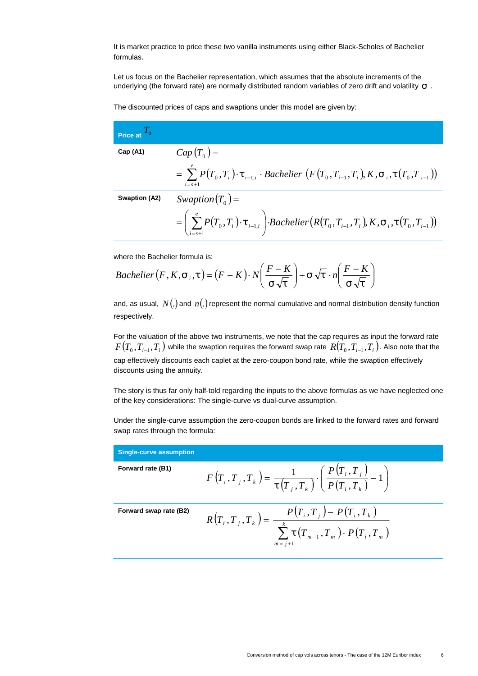It is market practice to price these two vanilla instruments using either Black-Scholes of Bachelier formulas.

Let us focus on the Bachelier representation, which assumes that the absolute increments of the underlying (the forward rate) are normally distributed random variables of zero drift and volatility  $\uparrow$ .

The discounted prices of caps and swaptions under this model are given by:

| Price at $I_0$ |                                                                                                                                                                                      |
|----------------|--------------------------------------------------------------------------------------------------------------------------------------------------------------------------------------|
| Cap(A1)        | $Cap(T_{0})=$                                                                                                                                                                        |
|                | $= \sum_{i=1}^{e} P(T_0, T_i) \cdot \mathbf{1}_{i=1,i} \cdot \text{Bachelier} \left( F(T_0, T_{i-1}, T_i), K, \mathbf{1}_{i}, \mathbf{1}_{i}, (T_0, T_{i-1}) \right)$<br>$i = s + 1$ |
| Swaption (A2)  | Swaption $(T_0)$ =                                                                                                                                                                   |
|                | $=\left(\sum_{i=s+1}^{e} P(T_0,T_i)\cdot \mathbf{t}_{i-1,i}\right)\cdot Bachelier\big(R(T_0,T_{i-1},T_i),K,\dagger_i,\dagger(T_0,T_{i-1})\big)$                                      |

where the Bachelier formula is:

$$
Bachelier(F, K, \dagger, \dagger) = (F - K) \cdot N \left( \frac{F - K}{\dagger \sqrt{\dagger}} \right) + \dagger \sqrt{\dagger} \cdot n \left( \frac{F - K}{\dagger \sqrt{\dagger}} \right)
$$

and, as usual,  $N(.)$  and  $n(.)$  represent the normal cumulative and normal distribution density function respectively.

For the valuation of the above two instruments, we note that the cap requires as input the forward rate  $F\bigl(T_0, T_{i-1}, T_i\bigr)$  while the swaption requires the forward swap rate  $\ R\bigl(T_0, T_{i-1}, T_i\bigr).$  Also note that the cap effectively discounts each caplet at the zero-coupon bond rate, while the swaption effectively discounts using the annuity.

The story is thus far only half-told regarding the inputs to the above formulas as we have neglected one of the key considerations: The single-curve vs dual-curve assumption.

Under the single-curve assumption the zero-coupon bonds are linked to the forward rates and forward swap rates through the formula:

| <b>Single-curve assumption</b> |                                                                                                                           |  |
|--------------------------------|---------------------------------------------------------------------------------------------------------------------------|--|
| Forward rate (B1)              | $F(T_i, T_j, T_k) = \frac{1}{\pm (T_i, T_k)} \cdot \left( \frac{P(T_i, T_j)}{P(T_i, T_k)} - 1 \right)$                    |  |
| Forward swap rate (B2)         | $P(T_i, T_j) - P(T_i, T_k)$<br>$R(T_i, T_j, T_k) =$<br>$\sum_{i=1}^{k}$ ‡ $(T_{m-1}, T_m) \cdot P(T_i, T_m)$<br>$m = j+1$ |  |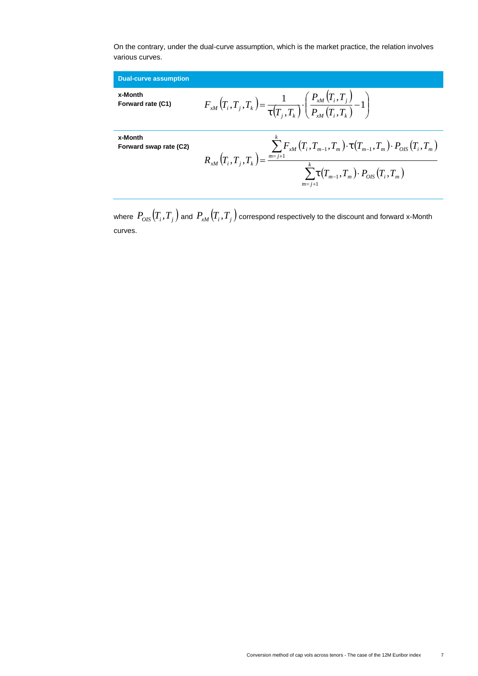On the contrary, under the dual-curve assumption, which is the market practice, the relation involves various curves.

| <b>Dual-curve assumption</b>      |                                                                                                                                                                                                                            |
|-----------------------------------|----------------------------------------------------------------------------------------------------------------------------------------------------------------------------------------------------------------------------|
| x-Month<br>Forward rate (C1)      | $F_{xM}(T_i, T_j, T_k) = \frac{1}{\ddagger (T_j, T_k)} \cdot \left( \frac{P_{xM}(T_i, T_j)}{P_{xM}(T_i, T_k)} - 1 \right)$                                                                                                 |
| x-Month<br>Forward swap rate (C2) | $\sum_{m=1}^{N} F_{xM}(T_{i},T_{m-1},T_{m}) \cdot \ddagger (T_{m-1},T_{m}) \cdot P_{OIS}(T_{i},T_{m})$<br>$R_{xM}\left(T_{i},T_{j},T_{k}\right)=\frac{m-j+1}{2}$<br>$\sum t(T_{m-1},T_m)\cdot P_{OIS}(T_i,T_m)$<br>$m=j+1$ |

where  $P_{OIS}(T_i, T_j)$  and  $P_{xM}(T_i, T_j)$  correspond respectively to the discount and forward x-Month curves.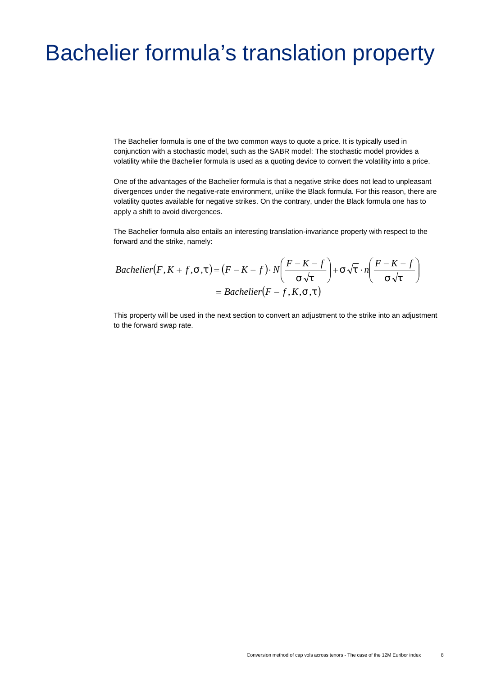# Bachelier formula's translation property

The Bachelier formula is one of the two common ways to quote a price. It is typically used in conjunction with a stochastic model, such as the SABR model: The stochastic model provides a volatility while the Bachelier formula is used as a quoting device to convert the volatility into a price.

One of the advantages of the Bachelier formula is that a negative strike does not lead to unpleasant divergences under the negative-rate environment, unlike the Black formula. For this reason, there are volatility quotes available for negative strikes. On the contrary, under the Black formula one has to apply a shift to avoid divergences.

The Bachelier formula also entails an interesting translation-invariance property with respect to the forward and the strike, namely:

$$
Bachelier(F, K+f, \uparrow, \uparrow, \downarrow) = (F - K - f) \cdot N \left( \frac{F - K - f}{\uparrow \sqrt{\uparrow}} \right) + \uparrow \sqrt{\uparrow} \cdot n \left( \frac{F - K - f}{\uparrow \sqrt{\uparrow}} \right)
$$

$$
= Bachelier(F - f, K, \uparrow, \downarrow)
$$

This property will be used in the next section to convert an adjustment to the strike into an adjustment to the forward swap rate.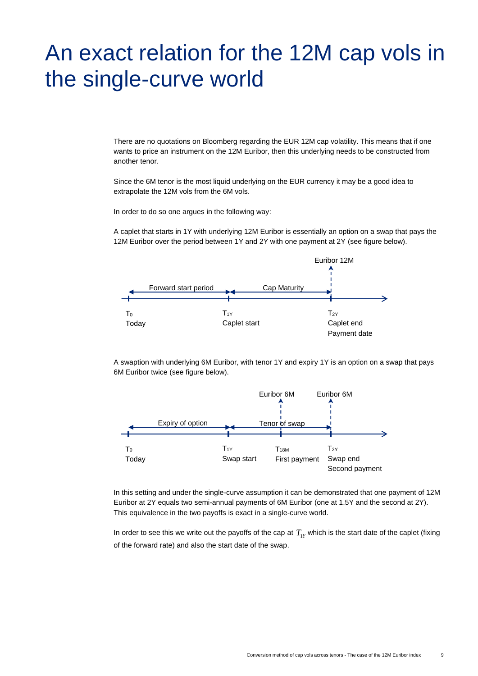# An exact relation for the 12M cap vols in the single-curve world

There are no quotations on Bloomberg regarding the EUR 12M cap volatility. This means that if one wants to price an instrument on the 12M Euribor, then this underlying needs to be constructed from another tenor.

Since the 6M tenor is the most liquid underlying on the EUR currency it may be a good idea to extrapolate the 12M vols from the 6M vols.

In order to do so one argues in the following way:

A caplet that starts in 1Y with underlying 12M Euribor is essentially an option on a swap that pays the 12M Euribor over the period between 1Y and 2Y with one payment at 2Y (see figure below).



A swaption with underlying 6M Euribor, with tenor 1Y and expiry 1Y is an option on a swap that pays 6M Euribor twice (see figure below).



In this setting and under the single-curve assumption it can be demonstrated that one payment of 12M Euribor at 2Y equals two semi-annual payments of 6M Euribor (one at 1.5Y and the second at 2Y). This equivalence in the two payoffs is exact in a single-curve world.

In order to see this we write out the payoffs of the cap at  $T_{1Y}$  which is the start date of the caplet (fixing of the forward rate) and also the start date of the swap.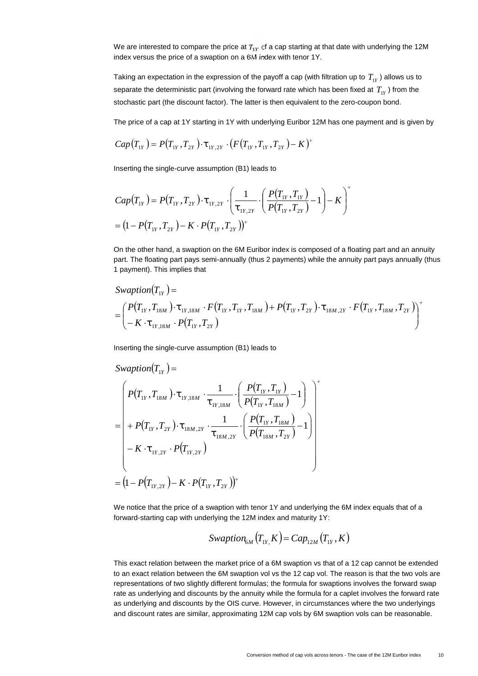We are interested to compare the price at  $T_{1Y}$  of a cap starting at that date with underlying the 12M index versus the price of a swaption on a 6M index with tenor 1Y.

Taking an expectation in the expression of the payoff a cap (with filtration up to  $\, T_{_1Y}$  ) allows us to separate the deterministic part (involving the forward rate which has been fixed at  $T_{1Y}$  ) from the stochastic part (the discount factor). The latter is then equivalent to the zero-coupon bond.

The price of a cap at 1Y starting in 1Y with underlying Euribor 12M has one payment and is given by

$$
Cap(T_{1Y}) = P(T_{1Y}, T_{2Y}) \cdot \mathbf{1}_{1Y,2Y} \cdot (F(T_{1Y}, T_{1Y}, T_{2Y}) - K)^{+}
$$

Inserting the single-curve assumption (B1) leads to

$$
Cap(T_{1Y}) = P(T_{1Y}, T_{2Y}) \cdot \mathbf{t}_{1Y,2Y} \cdot \left(\frac{1}{\mathbf{t}_{1Y,2Y}} \cdot \left(\frac{P(T_{1Y}, T_{1Y})}{P(T_{1Y}, T_{2Y})}-1\right) - K\right)^{+}
$$
  
=  $(1 - P(T_{1Y}, T_{2Y}) - K \cdot P(T_{1Y}, T_{2Y}))^{+}$ 

On the other hand, a swaption on the 6M Euribor index is composed of a floating part and an annuity part. The floating part pays semi-annually (thus 2 payments) while the annuity part pays annually (thus 1 payment). This implies that

$$
Swaption(T_{1Y}) =
$$
\n
$$
= \left( \begin{array}{l} P(T_{1Y}, T_{18M}) \cdot \ddot{\tau}_{1Y,18M} \cdot F(T_{1Y}, T_{1Y}, T_{18M}) + P(T_{1Y}, T_{2Y}) \cdot \dot{\tau}_{18M,2Y} \cdot F(T_{1Y}, T_{18M}, T_{2Y}) \\ -K \cdot \ddot{\tau}_{1Y,18M} \cdot P(T_{1Y}, T_{2Y}) \end{array} \right)^{+}
$$

Inserting the single-curve assumption (B1) leads to

$$
\begin{split}\n\text{Swaption}(T_{1Y}) &= \\
&= \left( P(T_{1Y}, T_{18M}) \cdot \mathbf{t}_{1Y,18M} \cdot \frac{1}{\mathbf{t}_{1Y,18M}} \cdot \left( \frac{P(T_{1Y}, T_{1Y})}{P(T_{1Y}, T_{18M})} - 1 \right) \right) \\
&= \left( + P(T_{1Y}, T_{2Y}) \cdot \mathbf{t}_{18M,2Y} \cdot \frac{1}{\mathbf{t}_{18M,2Y}} \cdot \left( \frac{P(T_{1Y}, T_{18M})}{P(T_{18M}, T_{2Y})} - 1 \right) \right) \\
&- K \cdot \mathbf{t}_{1Y,2Y} \cdot P(T_{1Y,2Y}) \\
&= \left( 1 - P(T_{1Y,2Y}) - K \cdot P(T_{1Y}, T_{2Y}) \right)^{+}\n\end{split}
$$

We notice that the price of a swaption with tenor 1Y and underlying the 6M index equals that of a forward-starting cap with underlying the 12M index and maturity 1Y:

$$
Swaption_{6M}\left(T_{1Y}^{\mathsf{K}}\right) = Cap_{12M}\left(T_{1Y}, K\right)
$$

This exact relation between the market price of a 6M swaption vs that of a 12 cap cannot be extended to an exact relation between the 6M swaption vol vs the 12 cap vol. The reason is that the two vols are representations of two slightly different formulas; the formula for swaptions involves the forward swap rate as underlying and discounts by the annuity while the formula for a caplet involves the forward rate as underlying and discounts by the OIS curve. However, in circumstances where the two underlyings and discount rates are similar, approximating 12M cap vols by 6M swaption vols can be reasonable.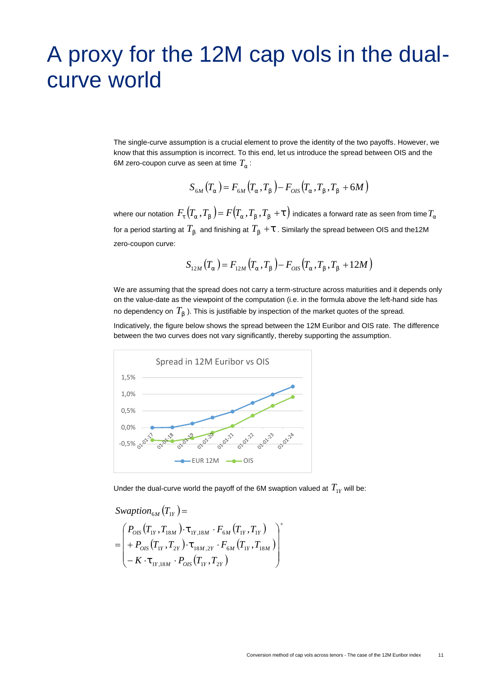# A proxy for the 12M cap vols in the dual curve world

The single-curve assumption is a crucial element to prove the identity of the two payoffs. However, we know that this assumption is incorrect. To this end, let us introduce the spread between OIS and the 6M zero-coupon curve as seen at time  $T_{\rm r}$  :

$$
S_{6M}(T_{r}) = F_{6M}(T_{r}, T_{s}) - F_{OIS}(T_{r}, T_{s}, T_{s} + 6M)
$$

where our notation  $\,F_{\rm t}\,(T_{_{\Gamma}}\,,T_{_{\rm S}}\,) \!= F\,(T_{_{\Gamma}}\,,T_{_{\rm S}}\,,T_{_{\rm S}}\,+ \ddagger\,)$  indicates a forward rate as seen from time  $T_{_{\Gamma}}\,$ for a period starting at  $T_{_{\mathrm{S}}}$  and finishing at  $T_{_{\mathrm{S}}} + \ddagger$  . Similarly the spread between OIS and the12M zero-coupon curve:

$$
S_{12M}(T_r) = F_{12M}(T_r, T_s) - F_{OIS}(T_r, T_s, T_s + 12M)
$$

We are assuming that the spread does not carry a term-structure across maturities and it depends only on the value-date as the viewpoint of the computation (i.e. in the formula above the left-hand side has no dependency on  $T_{_{\mathrm{S}}}$  ). This is justifiable by inspection of the market quotes of the spread.

Indicatively, the figure below shows the spread between the 12M Euribor and OIS rate. The difference between the two curves does not vary significantly, thereby supporting the assumption.



Under the dual-curve world the payoff of the 6M swaption valued at  $T_{1Y}$  will be:

$$
\begin{aligned}\n\text{Swaption}_{6M}(T_{1Y}) &= \\
&= \begin{pmatrix} P_{OIS}(T_{1Y}, T_{18M}) \cdot \ddot{\mathbf{t}}_{1Y,18M} \cdot F_{6M}(T_{1Y}, T_{1Y}) \\ \n&+ P_{OIS}(T_{1Y}, T_{2Y}) \cdot \ddot{\mathbf{t}}_{18M,2Y} \cdot F_{6M}(T_{1Y}, T_{18M}) \\ \n&- K \cdot \ddot{\mathbf{t}}_{1Y,18M} \cdot P_{OIS}(T_{1Y}, T_{2Y}) \n\end{pmatrix}^+\n\end{aligned}
$$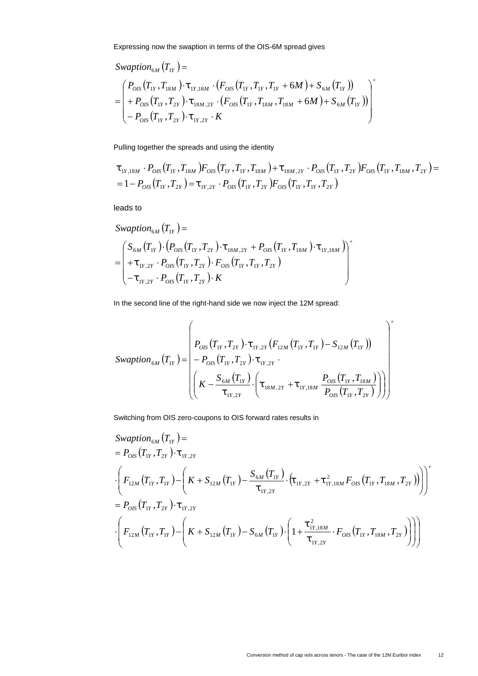Expressing now the swaption in terms of the OIS-6M spread gives

$$
\begin{split} \textit{Swaption}_{6M}(T_{1Y}) &= \\ &= \left(\begin{matrix} P_{OIS}(T_{1Y}, T_{18M}) \cdot \mathbf{t}_{1Y,18M} \cdot (F_{OIS}(T_{1Y}, T_{1Y}, T_{1Y} + 6M) + S_{6M}(T_{1Y})) \\ + P_{OIS}(T_{1Y}, T_{2Y}) \cdot \mathbf{t}_{18M,2Y} \cdot (F_{OIS}(T_{1Y}, T_{18M}, T_{18M} + 6M) + S_{6M}(T_{1Y})) \\ - P_{OIS}(T_{1Y}, T_{2Y}) \cdot \mathbf{t}_{1Y,2Y} \cdot K \end{matrix}\right) \end{split}
$$

Pulling together the spreads and using the identity

$$
\begin{aligned}\n& \mathbf{t}_{1Y,18M} \cdot P_{OIS}(T_{1Y}, T_{18M}) F_{OIS}(T_{1Y}, T_{1Y}, T_{18M}) + \mathbf{t}_{18M,2Y} \cdot P_{OIS}(T_{1Y}, T_{2Y}) F_{OIS}(T_{1Y}, T_{18M}, T_{2Y}) \\
&= 1 - P_{OIS}(T_{1Y}, T_{2Y}) = \mathbf{t}_{1Y,2Y} \cdot P_{OIS}(T_{1Y}, T_{2Y}) F_{OIS}(T_{1Y}, T_{1Y}, T_{2Y})\n\end{aligned}
$$

leads to

$$
Swaption_{6M}(T_{1Y}) =
$$
\n
$$
= \begin{pmatrix} S_{6M}(T_{1Y}) \cdot (P_{OS}(T_{1Y}, T_{2Y}) \cdot \mathbf{t}_{18M,2Y} + P_{OS}(T_{1Y}, T_{18M}) \cdot \mathbf{t}_{1Y,18M}) \\ + \mathbf{t}_{1Y,2Y} \cdot P_{OS}(T_{1Y}, T_{2Y}) \cdot F_{OS}(T_{1Y}, T_{1Y}, T_{2Y}) \\ - \mathbf{t}_{1Y,2Y} \cdot P_{OS}(T_{1Y}, T_{2Y}) \cdot K \end{pmatrix}^{+}
$$

In the second line of the right-hand side we now inject the 12M spread:

$$
Swaption_{6M}(T_{1Y}) = \begin{pmatrix} P_{OS}(T_{1Y}, T_{2Y}) \cdot \ddagger_{1Y,2Y} (F_{12M} (T_{1Y}, T_{1Y}) - S_{12M} (T_{1Y})) \\ - P_{OS}(T_{1Y}, T_{2Y}) \cdot \ddagger_{1Y,2Y} \\ \left( K - \frac{S_{6M} (T_{1Y})}{\ddagger_{1Y,2Y}} \cdot \left( \ddagger_{18M,2Y} + \ddagger_{1Y,18M} \frac{P_{OS} (T_{1Y}, T_{18M})}{P_{OS} (T_{1Y}, T_{2Y})} \right) \right) \end{pmatrix}^+
$$

Switching from OIS zero-coupons to OIS forward rates results in

$$
Swaption_{6M}(T_{1Y}) =
$$
\n
$$
= P_{OS}(T_{1Y}, T_{2Y}) \cdot \mathbf{t}_{1Y,2Y}
$$
\n
$$
\cdot \left(F_{12M}(T_{1Y}, T_{1Y}) - \left(K + S_{12M}(T_{1Y}) - \frac{S_{6M}(T_{1Y})}{\mathbf{t}_{1Y,2Y}} \cdot (\mathbf{t}_{1Y,2Y} + \mathbf{t}_{1Y,18M}^2 F_{OS}(T_{1Y}, T_{18M}, T_{2Y}))\right)\right)^+
$$
\n
$$
= P_{OS}(T_{1Y}, T_{2Y}) \cdot \mathbf{t}_{1Y,2Y}
$$
\n
$$
\cdot \left(F_{12M}(T_{1Y}, T_{1Y}) - \left(K + S_{12M}(T_{1Y}) - S_{6M}(T_{1Y}) \cdot \left(1 + \frac{\mathbf{t}_{1Y,18M}^2}{\mathbf{t}_{1Y,2Y}} \cdot F_{OS}(T_{1Y}, T_{18M}, T_{2Y})\right)\right)\right)
$$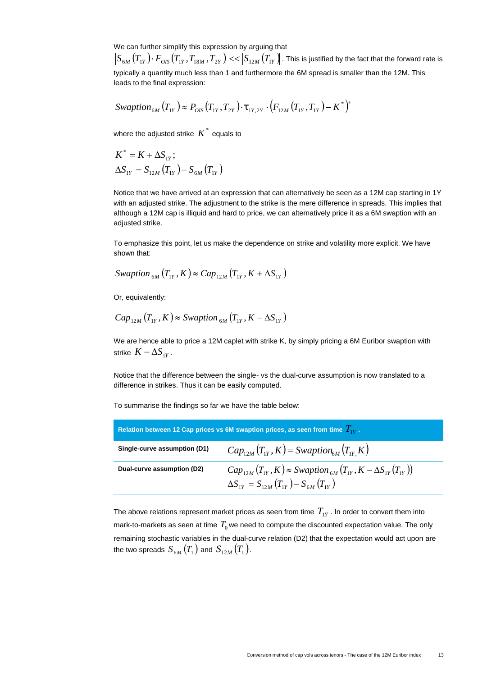We can further simplify this expression by arguing that

 $S_{6M}(T_{1Y})\cdotp F_{OIS}(T_{1Y},T_{18M},T_{2Y})$   $<<$   $\left|S_{12M}(T_{1Y})\right|$  . This is justified by the fact that the forward rate is typically a quantity much less than 1 and furthermore the 6M spread is smaller than the 12M. This leads to the final expression:

$$
Swaption_{6M}(T_{1Y}) \approx P_{OIS}(T_{1Y}, T_{2Y}) \cdot \mathbf{t}_{1Y,2Y} \cdot (F_{12M}(T_{1Y}, T_{1Y}) - K^*)^+
$$

where the adjusted strike  $K^*$  equals to

$$
K^* = K + \Delta S_{1Y};
$$
  
\n
$$
\Delta S_{1Y} = S_{12M} (T_{1Y}) - S_{6M} (T_{1Y})
$$

Notice that we have arrived at an expression that can alternatively be seen as a 12M cap starting in 1Y with an adjusted strike. The adjustment to the strike is the mere difference in spreads. This implies that although a 12M cap is illiquid and hard to price, we can alternatively price it as a 6M swaption with an adjusted strike.

To emphasize this point, let us make the dependence on strike and volatility more explicit. We have shown that:

$$
Swaption_{6M}(T_{1Y}, K) \approx Cap_{12M}(T_{1Y}, K + \Delta S_{1Y})
$$

Or, equivalently:

$$
Cap_{12M}(T_{1Y}, K) \approx \text{Swaption}_{6M}(T_{1Y}, K - \Delta S_{1Y})
$$

We are hence able to price a 12M caplet with strike K, by simply pricing a 6M Euribor swaption with strike  $K - \Delta S_{1Y}$ .

Notice that the difference between the single- vs the dual-curve assumption is now translated to a difference in strikes. Thus it can be easily computed.

To summarise the findings so far we have the table below:

| Relation between 12 Cap prices vs 6M swaption prices, as seen from time $T_{W}$ . |                                                                                                                                       |  |
|-----------------------------------------------------------------------------------|---------------------------------------------------------------------------------------------------------------------------------------|--|
| Single-curve assumption (D1)                                                      | $Cap_{12M}(T_{1Y}, K) = Swaption_{6M}(T_{1Y} K)$                                                                                      |  |
| Dual-curve assumption (D2)                                                        | $Cap_{12M}(T_{1Y}, K) \approx Swaption_{6M}(T_{1Y}, K - \Delta S_{1Y}(T_{1Y}))$<br>$\Delta S_{1Y} = S_{12M}(T_{1Y}) - S_{6M}(T_{1Y})$ |  |

The above relations represent market prices as seen from time  $\, T_{1Y}$  . In order to convert them into mark-to-markets as seen at time  $\, T_{0}$  we need to compute the discounted expectation value. The only remaining stochastic variables in the dual-curve relation (D2) that the expectation would act upon are the two spreads  $\,_{6M}\left(T_{_{1}}\right)$  and  $\,S_{_{12M}}\left(T_{_{1}}\right).$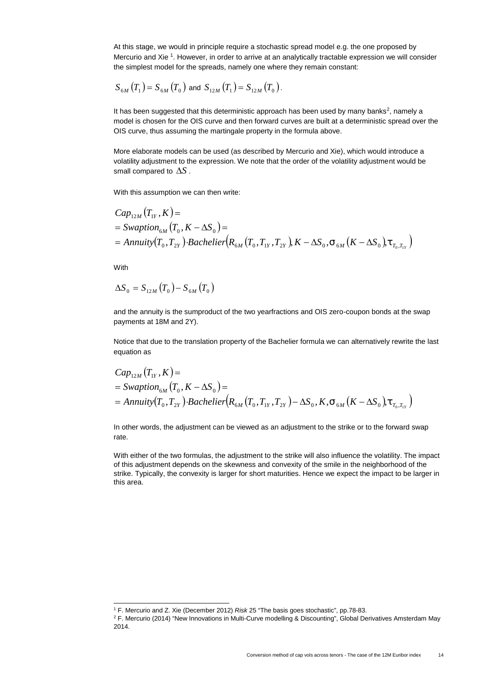At this stage, we would in principle require a stochastic spread model e.g. the one proposed by Mercurio and Xie <sup>1</sup>. However, in order to arrive at an analytically tractable expression we will consider the simplest model for the spreads, namely one where they remain constant:

$$
S_{6M}(T_1) = S_{6M}(T_0) \text{ and } S_{12M}(T_1) = S_{12M}(T_0).
$$

It has been suggested that this deterministic approach has been used by many banks<sup>2</sup>, namely a model is chosen for the OIS curve and then forward curves are built at a deterministic spread over the OIS curve, thus assuming the martingale property in the formula above.

More elaborate models can be used (as described by Mercurio and Xie), which would introduce a volatility adjustment to the expression. We note that the order of the volatility adjustment would be small compared to  $\Delta S$ .

With this assumption we can then write:

$$
Cap_{12M}(T_{1Y}, K) =
$$
  
= Swaption<sub>6M</sub>(T<sub>0</sub>, K - \Delta S<sub>0</sub>) =  
= Annuity(T<sub>0</sub>, T<sub>2Y</sub>) $\cdot$  Bachelier(R<sub>6M</sub>(T<sub>0</sub>, T<sub>1Y</sub>, T<sub>2Y</sub>), K - \Delta S<sub>0</sub>, t<sub>6M</sub>(K - \Delta S<sub>0</sub>)t<sub>T<sub>0</sub>, T<sub>1Y</sub></sub>)

With

$$
\Delta S_{\scriptscriptstyle{0}}=S_{\scriptscriptstyle{12M}}\left(T_{\scriptscriptstyle{0}}\right)-S_{\scriptscriptstyle{6M}}\left(T_{\scriptscriptstyle{0}}\right)
$$

and the annuity is the sumproduct of the two yearfractions and OIS zero-coupon bonds at the swap payments at 18M and 2Y).

Notice that due to the translation property of the Bachelier formula we can alternatively rewrite the last equation as

$$
Cap_{12M}(T_{1Y}, K) =
$$
  
= Swaption<sub>6M</sub>(T<sub>0</sub>, K - \Delta S<sub>0</sub>) =  
= Annuity(T<sub>0</sub>, T<sub>2Y</sub>)*-Bachelier*(R<sub>6M</sub>(T<sub>0</sub>, T<sub>1Y</sub>, T<sub>2Y</sub>) - \Delta S<sub>0</sub>, K, †<sub>6M</sub>(K - \Delta S<sub>0</sub>), †<sub>T<sub>0</sub>, T<sub>1Y</sub></sub>)

In other words, the adjustment can be viewed as an adjustment to the strike or to the forward swap rate.

With either of the two formulas, the adjustment to the strike will also influence the volatility. The impact of this adjustment depends on the skewness and convexity of the smile in the neighborhood of the strike. Typically, the convexity is larger for short maturities. Hence we expect the impact to be larger in this area.

<sup>1</sup> F. Mercurio and Z. Xie (December 2012) *Risk* 25 "The basis goes stochastic", pp.78-83.

<sup>2</sup> F. Mercurio (2014) "New Innovations in Multi-Curve modelling & Discounting", Global Derivatives Amsterdam May 2014.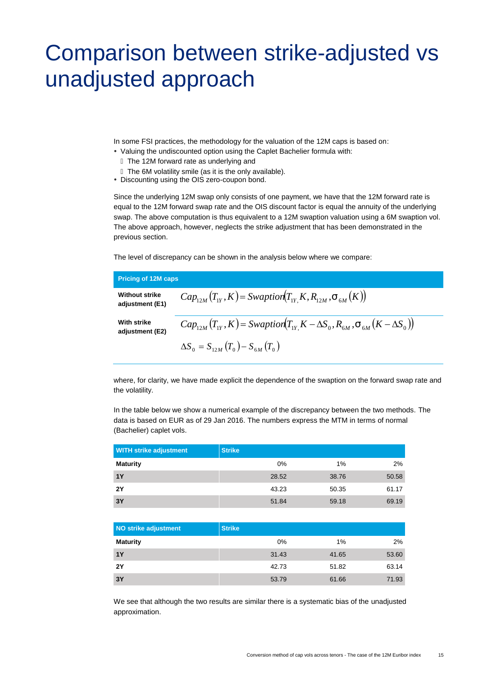# Comparison between strike-adjusted vs unadjusted approach

In some FSI practices, the methodology for the valuation of the 12M caps is based on:

- Valuing the undiscounted option using the Caplet Bachelier formula with:
	- The 12M forward rate as underlying and
	- The 6M volatility smile (as it is the only available).
- Discounting using the OIS zero-coupon bond.

Since the underlying 12M swap only consists of one payment, we have that the 12M forward rate is equal to the 12M forward swap rate and the OIS discount factor is equal the annuity of the underlying swap. The above computation is thus equivalent to a 12M swaption valuation using a 6M swaption vol. The above approach, however, neglects the strike adjustment that has been demonstrated in the previous section.

The level of discrepancy can be shown in the analysis below where we compare:

| Pricing of 12M caps                      |                                                                                             |
|------------------------------------------|---------------------------------------------------------------------------------------------|
| <b>Without strike</b><br>adjustment (E1) | $Cap_{12M}(T_{1Y}, K) = Swaption(T_{1Y} K, R_{12M}, t_{6M}(K))$                             |
| With strike<br>adjustment (E2)           | $Cap_{12M}(T_{1Y}, K)$ = Swaption $(T_{1Y} K - \Delta S_0, R_{6M}, t_{6M}(K - \Delta S_0))$ |
|                                          | $\Delta S_0 = S_{12M}(T_0) - S_{6M}(T_0)$                                                   |

where, for clarity, we have made explicit the dependence of the swaption on the forward swap rate and the volatility.

In the table below we show a numerical example of the discrepancy between the two methods. The data is based on EUR as of 29 Jan 2016. The numbers express the MTM in terms of normal (Bachelier) caplet vols.

| <b>WITH strike adjustment</b> | <b>Strike</b> |       |       |
|-------------------------------|---------------|-------|-------|
| <b>Maturity</b>               | 0%            | 1%    | 2%    |
| 1Y                            | 28.52         | 38.76 | 50.58 |
| <b>2Y</b>                     | 43.23         | 50.35 | 61.17 |
| 3Y                            | 51.84         | 59.18 | 69.19 |

| NO strike adjustment | <b>Strike</b> |       |       |
|----------------------|---------------|-------|-------|
| <b>Maturity</b>      | 0%            | 1%    | 2%    |
| 1Y                   | 31.43         | 41.65 | 53.60 |
| <b>2Y</b>            | 42.73         | 51.82 | 63.14 |
| 3Y                   | 53.79         | 61.66 | 71.93 |

We see that although the two results are similar there is a systematic bias of the unadjusted approximation.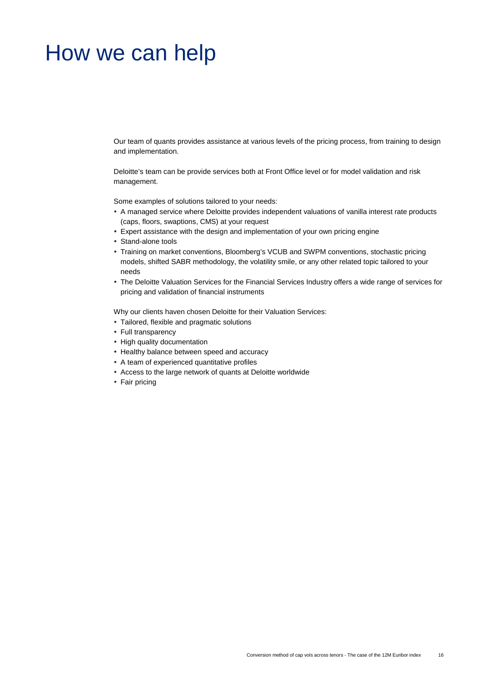### How we can help

Our team of quants provides assistance at various levels of the pricing process, from training to design and implementation.

Deloitte's team can be provide services both at Front Office level or for model validation and risk management.

Some examples of solutions tailored to your needs:

- A managed service where Deloitte provides independent valuations of vanilla interest rate products (caps, floors, swaptions, CMS) at your request
- Expert assistance with the design and implementation of your own pricing engine
- Stand-alone tools
- Training on market conventions, Bloomberg's VCUB and SWPM conventions, stochastic pricing models, shifted SABR methodology, the volatility smile, or any other related topic tailored to your needs
- The Deloitte Valuation Services for the Financial Services Industry offers a wide range of services for pricing and validation of financial instruments

Why our clients haven chosen Deloitte for their Valuation Services:

- Tailored, flexible and pragmatic solutions
- Full transparency
- High quality documentation
- Healthy balance between speed and accuracy
- A team of experienced quantitative profiles
- Access to the large network of quants at Deloitte worldwide
- Fair pricing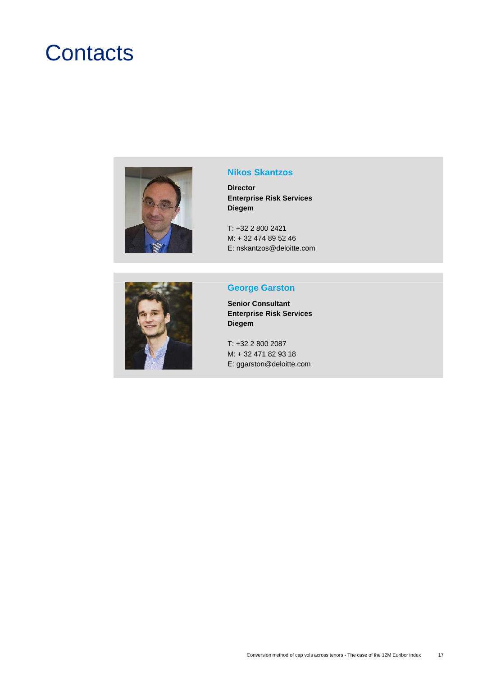## **Contacts**



#### **Nikos Skantzos**

**Director Enterprise Risk Services Diegem**

T: +32 2 800 2421 M: + 32 474 89 52 46 E: nskantzos@deloitte.com



#### **George Garston**

**Senior Consultant Enterprise Risk Services Diegem**

T: +32 2 800 2087 M: + 32 471 82 93 18 E: ggarston@deloitte.com